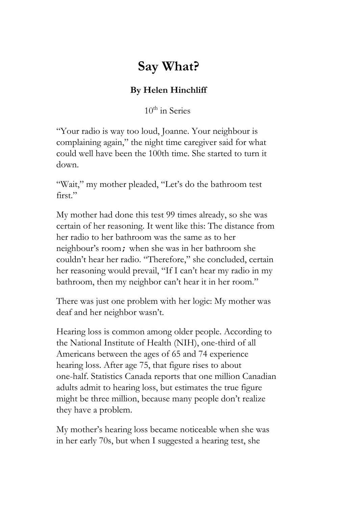## **Say What?**

## **By Helen Hinchliff**

10<sup>th</sup> in Series

"Your radio is way too loud, Joanne. Your neighbour is complaining again," the night time caregiver said for what could well have been the 100th time. She started to turn it down.

"Wait," my mother pleaded, "Let's do the bathroom test first."

My mother had done this test 99 times already, so she was certain of her reasoning. It went like this: The distance from her radio to her bathroom was the same as to her neighbour's room;when she was in her bathroom she couldn't hear her radio. "Therefore," she concluded, certain her reasoning would prevail, "If I can't hear my radio in my bathroom, then my neighbor can't hear it in her room."

There was just one problem with her logic: My mother was deaf and her neighbor wasn't.

Hearing loss is common among older people. According to the National Institute of Health (NIH), one-third of all Americans between the ages of 65 and 74 experience hearing loss. After age 75, that figure rises to about one-half. Statistics Canada reports that one million Canadian adults admit to hearing loss, but estimates the true figure might be three million, because many people don't realize they have a problem.

My mother's hearing loss became noticeable when she was in her early 70s, but when I suggested a hearing test, she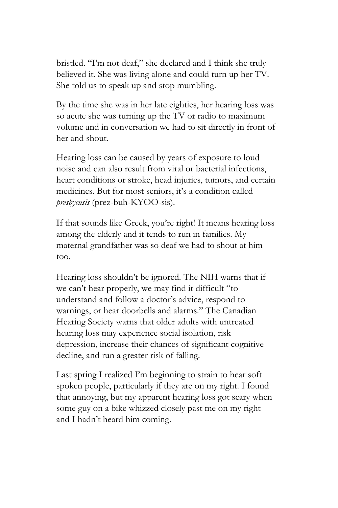bristled. "I'm not deaf," she declared and I think she truly believed it. She was living alone and could turn up her TV. She told us to speak up and stop mumbling.

By the time she was in her late eighties, her hearing loss was so acute she was turning up the TV or radio to maximum volume and in conversation we had to sit directly in front of her and shout.

Hearing loss can be caused by years of exposure to loud noise and can also result from viral or bacterial infections, heart conditions or stroke, head injuries, tumors, and certain medicines. But for most seniors, it's a condition called *presbycusis* (prez-buh-KYOO-sis).

If that sounds like Greek, you're right! It means hearing loss among the elderly and it tends to run in families. My maternal grandfather was so deaf we had to shout at him too.

Hearing loss shouldn't be ignored. The NIH warns that if we can't hear properly, we may find it difficult "to understand and follow a doctor's advice, respond to warnings, or hear doorbells and alarms." The Canadian Hearing Society warns that older adults with untreated hearing loss may experience social isolation, risk depression, increase their chances of significant cognitive decline, and run a greater risk of falling.

Last spring I realized I'm beginning to strain to hear soft spoken people, particularly if they are on my right. I found that annoying, but my apparent hearing loss got scary when some guy on a bike whizzed closely past me on my right and I hadn't heard him coming.